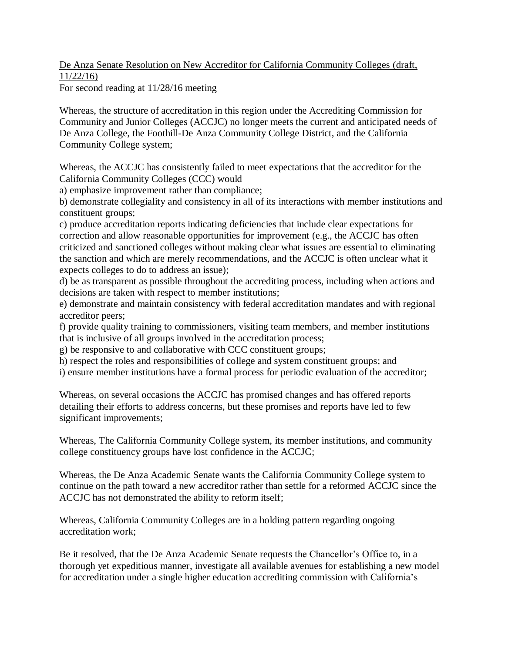De Anza Senate Resolution on New Accreditor for California Community Colleges (draft, 11/22/16)

For second reading at 11/28/16 meeting

Whereas, the structure of accreditation in this region under the Accrediting Commission for Community and Junior Colleges (ACCJC) no longer meets the current and anticipated needs of De Anza College, the Foothill-De Anza Community College District, and the California Community College system;

Whereas, the ACCJC has consistently failed to meet expectations that the accreditor for the California Community Colleges (CCC) would

a) emphasize improvement rather than compliance;

b) demonstrate collegiality and consistency in all of its interactions with member institutions and constituent groups;

c) produce accreditation reports indicating deficiencies that include clear expectations for correction and allow reasonable opportunities for improvement (e.g., the ACCJC has often criticized and sanctioned colleges without making clear what issues are essential to eliminating the sanction and which are merely recommendations, and the ACCJC is often unclear what it expects colleges to do to address an issue);

d) be as transparent as possible throughout the accrediting process, including when actions and decisions are taken with respect to member institutions;

e) demonstrate and maintain consistency with federal accreditation mandates and with regional accreditor peers;

f) provide quality training to commissioners, visiting team members, and member institutions that is inclusive of all groups involved in the accreditation process;

g) be responsive to and collaborative with CCC constituent groups;

h) respect the roles and responsibilities of college and system constituent groups; and

i) ensure member institutions have a formal process for periodic evaluation of the accreditor;

Whereas, on several occasions the ACCJC has promised changes and has offered reports detailing their efforts to address concerns, but these promises and reports have led to few significant improvements;

Whereas, The California Community College system, its member institutions, and community college constituency groups have lost confidence in the ACCJC;

Whereas, the De Anza Academic Senate wants the California Community College system to continue on the path toward a new accreditor rather than settle for a reformed ACCJC since the ACCJC has not demonstrated the ability to reform itself;

Whereas, California Community Colleges are in a holding pattern regarding ongoing accreditation work;

Be it resolved, that the De Anza Academic Senate requests the Chancellor's Office to, in a thorough yet expeditious manner, investigate all available avenues for establishing a new model for accreditation under a single higher education accrediting commission with California's